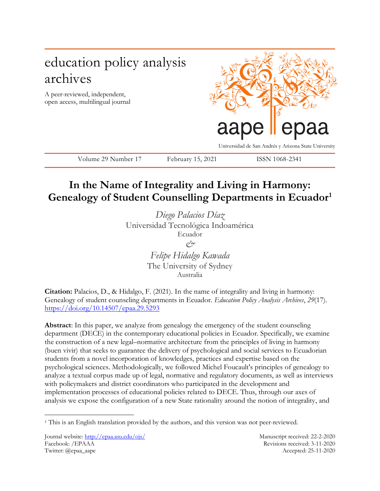# education policy analysis archives

A peer-reviewed, independent, open access, multilingual journal



Universidad de San Andrés y Arizona State University

Volume 29 Number 17 February 15, 2021 ISSN 1068-2341

# **In the Name of Integrality and Living in Harmony: Genealogy of Student Counselling Departments in Ecuador<sup>1</sup>**

*Diego Palacios Díaz* Universidad Tecnológica Indoamérica Ecuador

> *& Felipe Hidalgo Kawada*

The University of Sydney Australia

**Citation:** Palacios, D., & Hidalgo, F. (2021). In the name of integrality and living in harmony: Genealogy of student counseling departments in Ecuador. *Education Policy Analysis Archives*, *29*(17). <https://doi.org/10.14507/epaa.29.5293>

**Abstract**: In this paper, we analyze from genealogy the emergency of the student counseling department (DECE) in the contemporary educational policies in Ecuador. Specifically, we examine the construction of a new legal–normative architecture from the principles of living in harmony (buen vivir) that seeks to guarantee the delivery of psychological and social services to Ecuadorian students from a novel incorporation of knowledges, practices and expertise based on the psychological sciences. Methodologically, we followed Michel Foucault's principles of genealogy to analyze a textual corpus made up of legal, normative and regulatory documents, as well as interviews with policymakers and district coordinators who participated in the development and implementation processes of educational policies related to DECE. Thus, through our axes of analysis we expose the configuration of a new State rationality around the notion of integrality, and

 $\overline{a}$ 

<sup>&</sup>lt;sup>1</sup> This is an English translation provided by the authors, and this version was not peer-reviewed.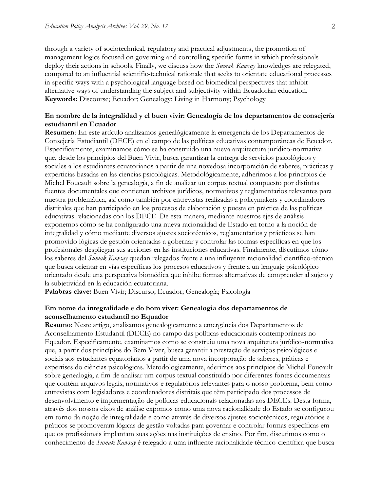through a variety of sociotechnical, regulatory and practical adjustments, the promotion of management logics focused on governing and controlling specific forms in which professionals deploy their actions in schools. Finally, we discuss how the *Sumak Kawsay* knowledges are relegated, compared to an influential scientific-technical rationale that seeks to orientate educational processes in specific ways with a psychological language based on biomedical perspectives that inhibit alternative ways of understanding the subject and subjectivity within Ecuadorian education. **Keywords:** Discourse; Ecuador; Genealogy; Living in Harmony; Psychology

## **En nombre de la integralidad y el buen vivir: Genealogía de los departamentos de consejería estudiantil en Ecuador**

**Resumen**: En este artículo analizamos genealógicamente la emergencia de los Departamentos de Consejería Estudiantil (DECE) en el campo de las políticas educativas contemporáneas de Ecuador. Específicamente, examinamos cómo se ha construido una nueva arquitectura jurídico-normativa que, desde los principios del Buen Vivir, busca garantizar la entrega de servicios psicológicos y sociales a los estudiantes ecuatorianos a partir de una novedosa incorporación de saberes, prácticas y experticias basadas en las ciencias psicológicas. Metodológicamente, adherimos a los principios de Michel Foucault sobre la genealogía, a fin de analizar un corpus textual compuesto por distintas fuentes documentales que contienen archivos jurídicos, normativos y reglamentarios relevantes para nuestra problemática, así como también por entrevistas realizadas a policymakers y coordinadores distritales que han participado en los procesos de elaboración y puesta en práctica de las políticas educativas relacionadas con los DECE. De esta manera, mediante nuestros ejes de análisis exponemos cómo se ha configurado una nueva racionalidad de Estado en torno a la noción de integralidad y cómo mediante diversos ajustes sociotécnicos, reglamentarios y prácticos se han promovido lógicas de gestión orientadas a gobernar y controlar las formas específicas en que los profesionales despliegan sus acciones en las instituciones educativas. Finalmente, discutimos cómo los saberes del *Sumak Kawsay* quedan relegados frente a una influyente racionalidad científico-técnica que busca orientar en vías específicas los procesos educativos y frente a un lenguaje psicológico orientado desde una perspectiva biomédica que inhibe formas alternativas de comprender al sujeto y la subjetividad en la educación ecuatoriana.

**Palabras clave:** Buen Vivir; Discurso; Ecuador; Genealogía; Psicología

### **Em nome da integralidade e do bom viver: Genealogia dos departamentos de aconselhamento estudantil no Equador**

**Resumo**: Neste artigo, analisamos genealogicamente a emergência dos Departamentos de Aconselhamento Estudantil (DECE) no campo das políticas educacionais contemporâneas no Equador. Especificamente, examinamos como se construiu uma nova arquitetura jurídico-normativa que, a partir dos princípios do Bem Viver, busca garantir a prestação de serviços psicológicos e sociais aos estudantes equatorianos a partir de uma nova incorporação de saberes, práticas e expertises do ciências psicológicas. Metodologicamente, aderimos aos princípios de Michel Foucault sobre genealogia, a fim de analisar um corpus textual constituído por diferentes fontes documentais que contêm arquivos legais, normativos e regulatórios relevantes para o nosso problema, bem como entrevistas com legisladores e coordenadores distritais que têm participado dos processos de desenvolvimento e implementação de políticas educacionais relacionadas aos DECEs. Desta forma, através dos nossos eixos de análise expomos como uma nova racionalidade do Estado se configurou em torno da noção de integralidade e como através de diversos ajustes sociotécnicos, regulatórios e práticos se promoveram lógicas de gestão voltadas para governar e controlar formas específicas em que os profissionais implantam suas ações nas instituições de ensino. Por fim, discutimos como o conhecimento de *Sumak Kawsay* é relegado a uma influente racionalidade técnico-científica que busca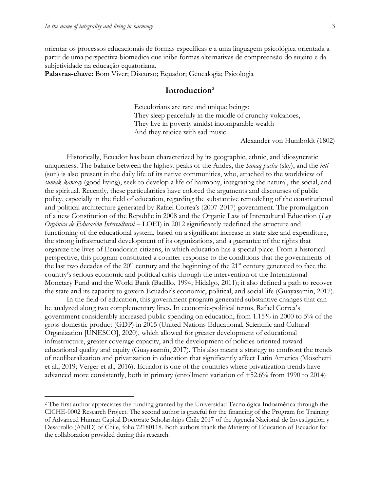$\overline{a}$ 

orientar os processos educacionais de formas específicas e a uma linguagem psicológica orientada a partir de uma perspectiva biomédica que inibe formas alternativas de compreensão do sujeito e da subjetividade na educação equatoriana.

**Palavras-chave:** Bom Viver; Discurso; Equador; Genealogia; Psicologia

## **Introduction<sup>2</sup>**

Ecuadorians are rare and unique beings: They sleep peacefully in the middle of crunchy volcanoes, They live in poverty amidst incomparable wealth And they rejoice with sad music.

Alexander von Humboldt (1802)

Historically, Ecuador has been characterized by its geographic, ethnic, and idiosyncratic uniqueness. The balance between the highest peaks of the Andes, the *hanaq pacha* (sky), and the *inti* (sun) is also present in the daily life of its native communities, who, attached to the worldview of *sumak kawsay* (good living), seek to develop a life of harmony, integrating the natural, the social, and the spiritual. Recently, these particularities have colored the arguments and discourses of public policy, especially in the field of education, regarding the substantive remodeling of the constitutional and political architecture generated by Rafael Correa's (2007-2017) government. The promulgation of a new Constitution of the Republic in 2008 and the Organic Law of Intercultural Education (*Ley Orgánica de Educación Intercultural* – LOEI) in 2012 significantly redefined the structure and functioning of the educational system, based on a significant increase in state size and expenditure, the strong infrastructural development of its organizations, and a guarantee of the rights that organize the lives of Ecuadorian citizens, in which education has a special place. From a historical perspective, this program constituted a counter-response to the conditions that the governments of the last two decades of the  $20<sup>th</sup>$  century and the beginning of the  $21<sup>st</sup>$  century generated to face the country's serious economic and political crisis through the intervention of the International Monetary Fund and the World Bank (Badillo, 1994; Hidalgo, 2011); it also defined a path to recover the state and its capacity to govern Ecuador's economic, political, and social life (Guayasamin, 2017).

In the field of education, this government program generated substantive changes that can be analyzed along two complementary lines. In economic-political terms, Rafael Correa's government considerably increased public spending on education, from 1.15% in 2000 to 5% of the gross domestic product (GDP) in 2015 (United Nations Educational, Scientific and Cultural Organization [UNESCO], 2020), which allowed for greater development of educational infrastructure, greater coverage capacity, and the development of policies oriented toward educational quality and equity (Guayasamín, 2017). This also meant a strategy to confront the trends of neoliberalization and privatization in education that significantly affect Latin America (Moschetti et al., 2019; Verger et al., 2016). Ecuador is one of the countries where privatization trends have advanced more consistently, both in primary (enrollment variation of +52.6% from 1990 to 2014)

<sup>2</sup> The first author appreciates the funding granted by the Universidad Tecnológica Indoamérica through the CICHE-0002 Research Project. The second author is grateful for the financing of the Program for Training of Advanced Human Capital Doctorate Scholarships Chile 2017 of the Agencia Nacional de Investigación y Desarrollo (ANID) of Chile, folio 72180118. Both authors thank the Ministry of Education of Ecuador for the collaboration provided during this research.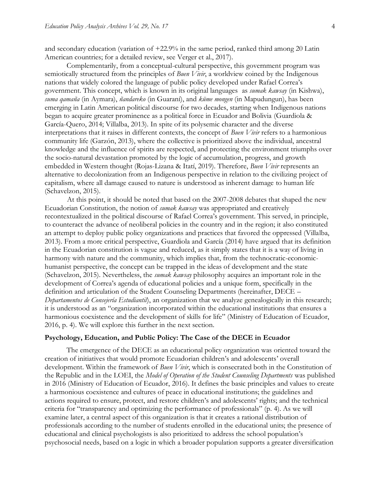and secondary education (variation of +22.9% in the same period, ranked third among 20 Latin American countries; for a detailed review, see Verger et al., 2017).

Complementarily, from a conceptual-cultural perspective, this government program was semiotically structured from the principles of *Buen Vivir*, a worldview coined by the Indigenous nations that widely colored the language of public policy developed under Rafael Correa's government. This concept, which is known in its original languages as *sumak kawsay* (in Kishwa), *suma qamaña* (in Aymara), *ñandareko* (in Guaraní), and *küme mongen* (in Mapudungun), has been emerging in Latin American political discourse for two decades, starting when Indigenous nations began to acquire greater prominence as a political force in Ecuador and Bolivia (Guardiola & García-Quero, 2014; Villalba, 2013). In spite of its polysemic character and the diverse interpretations that it raises in different contexts, the concept of *Buen Vivir* refers to a harmonious community life (Garzón, 2013), where the collective is prioritized above the individual, ancestral knowledge and the influence of spirits are respected, and protecting the environment triumphs over the socio-natural devastation promoted by the logic of accumulation, progress, and growth embedded in Western thought (Rojas-Lizana & Itatí, 2019). Therefore, *Buen Vivir* represents an alternative to decolonization from an Indigenous perspective in relation to the civilizing project of capitalism, where all damage caused to nature is understood as inherent damage to human life (Schavelzon, 2015).

At this point, it should be noted that based on the 2007-2008 debates that shaped the new Ecuadorian Constitution, the notion of *sumak kawsay* was appropriated and creatively recontextualized in the political discourse of Rafael Correa's government. This served, in principle, to counteract the advance of neoliberal policies in the country and in the region; it also constituted an attempt to deploy public policy organizations and practices that favored the oppressed (Villalba, 2013). From a more critical perspective, Guardiola and García (2014) have argued that its definition in the Ecuadorian constitution is vague and reduced, as it simply states that it is a way of living in harmony with nature and the community, which implies that, from the technocratic-economichumanist perspective, the concept can be trapped in the ideas of development and the state (Schavelzon, 2015). Nevertheless, the *sumak kawsay* philosophy acquires an important role in the development of Correa's agenda of educational policies and a unique form, specifically in the definition and articulation of the Student Counseling Departments (hereinafter, DECE – *Departamentos de Consejería Estudiantil*), an organization that we analyze genealogically in this research; it is understood as an "organization incorporated within the educational institutions that ensures a harmonious coexistence and the development of skills for life" (Ministry of Education of Ecuador, 2016, p. 4). We will explore this further in the next section.

### **Psychology, Education, and Public Policy: The Case of the DECE in Ecuador**

The emergence of the DECE as an educational policy organization was oriented toward the creation of initiatives that would promote Ecuadorian children's and adolescents' overall development. Within the framework of *Buen Vivir*, which is consecrated both in the Constitution of the Republic and in the LOEI, the *Model of Operation of the Student Counseling Departments* was published in 2016 (Ministry of Education of Ecuador, 2016). It defines the basic principles and values to create a harmonious coexistence and cultures of peace in educational institutions; the guidelines and actions required to ensure, protect, and restore children's and adolescents' rights; and the technical criteria for "transparency and optimizing the performance of professionals" (p. 4). As we will examine later, a central aspect of this organization is that it creates a rational distribution of professionals according to the number of students enrolled in the educational units; the presence of educational and clinical psychologists is also prioritized to address the school population's psychosocial needs, based on a logic in which a broader population supports a greater diversification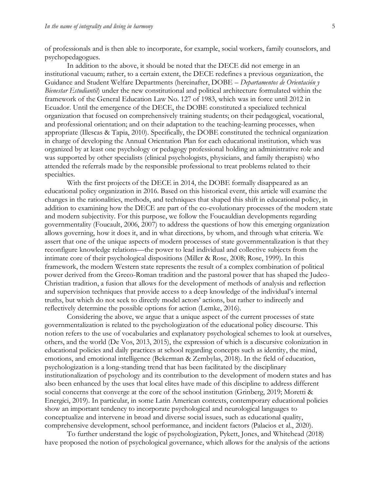of professionals and is then able to incorporate, for example, social workers, family counselors, and psychopedagogues.

In addition to the above, it should be noted that the DECE did not emerge in an institutional vacuum; rather, to a certain extent, the DECE redefines a previous organization, the Guidance and Student Welfare Departments (hereinafter, DOBE – *Departamentos de Orientación y Bienestar Estudiantil*) under the new constitutional and political architecture formulated within the framework of the General Education Law No. 127 of 1983, which was in force until 2012 in Ecuador. Until the emergence of the DECE, the DOBE constituted a specialized technical organization that focused on comprehensively training students; on their pedagogical, vocational, and professional orientation; and on their adaptation to the teaching-learning processes, when appropriate (Illescas & Tapia, 2010). Specifically, the DOBE constituted the technical organization in charge of developing the Annual Orientation Plan for each educational institution, which was organized by at least one psychology or pedagogy professional holding an administrative role and was supported by other specialists (clinical psychologists, physicians, and family therapists) who attended the referrals made by the responsible professional to treat problems related to their specialties.

With the first projects of the DECE in 2014, the DOBE formally disappeared as an educational policy organization in 2016. Based on this historical event, this article will examine the changes in the rationalities, methods, and techniques that shaped this shift in educational policy, in addition to examining how the DECE are part of the co-evolutionary processes of the modern state and modern subjectivity. For this purpose, we follow the Foucauldian developments regarding governmentality (Foucault, 2006, 2007) to address the questions of how this emerging organization allows governing, how it does it, and in what directions, by whom, and through what criteria. We assert that one of the unique aspects of modern processes of state governmentalization is that they reconfigure knowledge relations––the power to lead individual and collective subjects from the intimate core of their psychological dispositions (Miller & Rose, 2008; Rose, 1999). In this framework, the modern Western state represents the result of a complex combination of political power derived from the Greco-Roman tradition and the pastoral power that has shaped the Judeo-Christian tradition, a fusion that allows for the development of methods of analysis and reflection and supervision techniques that provide access to a deep knowledge of the individual's internal truths, but which do not seek to directly model actors' actions, but rather to indirectly and reflectively determine the possible options for action (Lemke, 2016).

Considering the above, we argue that a unique aspect of the current processes of state governmentalization is related to the psychologization of the educational policy discourse. This notion refers to the use of vocabularies and explanatory psychological schemes to look at ourselves, others, and the world (De Vos, 2013, 2015), the expression of which is a discursive colonization in educational policies and daily practices at school regarding concepts such as identity, the mind, emotions, and emotional intelligence (Bekerman & Zembylas, 2018). In the field of education, psychologization is a long-standing trend that has been facilitated by the disciplinary institutionalization of psychology and its contribution to the development of modern states and has also been enhanced by the uses that local elites have made of this discipline to address different social concerns that converge at the core of the school institution (Grinberg, 2019; Moretti & Energici, 2019). In particular, in some Latin American contexts, contemporary educational policies show an important tendency to incorporate psychological and neurological languages to conceptualize and intervene in broad and diverse social issues, such as educational quality, comprehensive development, school performance, and incident factors (Palacios et al., 2020).

To further understand the logic of psychologization, Pykett, Jones, and Whitehead (2018) have proposed the notion of psychological governance, which allows for the analysis of the actions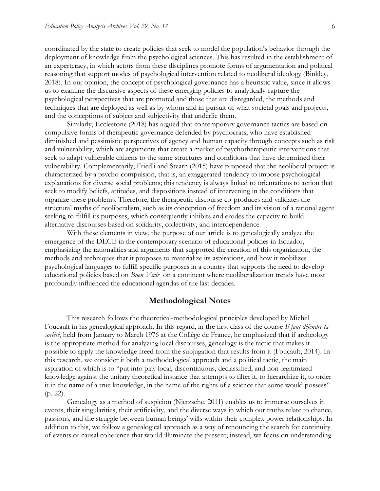coordinated by the state to create policies that seek to model the population's behavior through the deployment of knowledge from the psychological sciences. This has resulted in the establishment of an expertcracy, in which actors from these disciplines promote forms of argumentation and political reasoning that support modes of psychological intervention related to neoliberal ideology (Binkley, 2018). In our opinion, the concept of psychological governance has a heuristic value, since it allows us to examine the discursive aspects of these emerging policies to analytically capture the psychological perspectives that are promoted and those that are disregarded, the methods and techniques that are deployed as well as by whom and in pursuit of what societal goals and projects, and the conceptions of subject and subjectivity that underlie them.

Similarly, Ecclestone (2018) has argued that contemporary governance tactics are based on compulsive forms of therapeutic governance defended by psychocrats, who have established diminished and pessimistic perspectives of agency and human capacity through concepts such as risk and vulnerability, which are arguments that create a market of psychotherapeutic interventions that seek to adapt vulnerable citizens to the same structures and conditions that have determined their vulnerability. Complementarily, Friedli and Stearn (2015) have proposed that the neoliberal project is characterized by a psycho-compulsion, that is, an exaggerated tendency to impose psychological explanations for diverse social problems; this tendency is always linked to orientations to action that seek to modify beliefs, attitudes, and dispositions instead of intervening in the conditions that organize these problems. Therefore, the therapeutic discourse co-produces and validates the structural myths of neoliberalism, such as its conception of freedom and its vision of a rational agent seeking to fulfill its purposes, which consequently inhibits and erodes the capacity to build alternative discourses based on solidarity, collectivity, and interdependence.

With these elements in view, the purpose of our article is to genealogically analyze the emergence of the DECE in the contemporary scenario of educational policies in Ecuador, emphasizing the rationalities and arguments that supported the creation of this organization, the methods and techniques that it proposes to materialize its aspirations, and how it mobilizes psychological languages to fulfill specific purposes in a country that supports the need to develop educational policies based on *Buen Vivir* on a continent where neoliberalization trends have most profoundly influenced the educational agendas of the last decades.

#### **Methodological Notes**

This research follows the theoretical-methodological principles developed by Michel Foucault in his genealogical approach. In this regard, in the first class of the course *Il faut défendre la société*, held from January to March 1976 at the Collège de France, he emphasized that if archeology is the appropriate method for analyzing local discourses, genealogy is the tactic that makes it possible to apply the knowledge freed from the subjugation that results from it (Foucault, 2014). In this research, we consider it both a methodological approach and a political tactic, the main aspiration of which is to "put into play local, discontinuous, declassified, and non-legitimized knowledge against the unitary theoretical instance that attempts to filter it, to hierarchize it, to order it in the name of a true knowledge, in the name of the rights of a science that some would possess" (p. 22).

Genealogy as a method of suspicion (Nietzsche, 2011) enables us to immerse ourselves in events, their singularities, their artificiality, and the diverse ways in which our truths relate to chance, passions, and the struggle between human beings' wills within their complex power relationships. In addition to this, we follow a genealogical approach as a way of renouncing the search for continuity of events or causal coherence that would illuminate the present; instead, we focus on understanding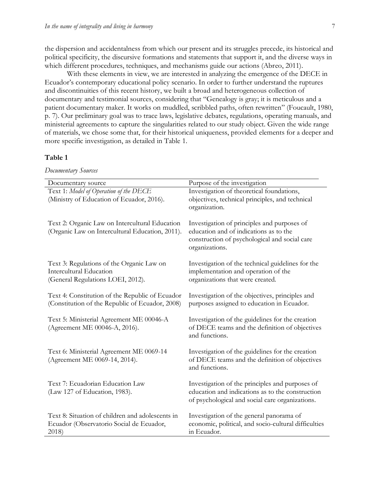the dispersion and accidentalness from which our present and its struggles precede, its historical and political specificity, the discursive formations and statements that support it, and the diverse ways in which different procedures, techniques, and mechanisms guide our actions (Abreo, 2011).

With these elements in view, we are interested in analyzing the emergence of the DECE in Ecuador's contemporary educational policy scenario. In order to further understand the ruptures and discontinuities of this recent history, we built a broad and heterogeneous collection of documentary and testimonial sources, considering that "Genealogy is gray; it is meticulous and a patient documentary maker. It works on muddled, scribbled paths, often rewritten" (Foucault, 1980, p. 7). Our preliminary goal was to trace laws, legislative debates, regulations, operating manuals, and ministerial agreements to capture the singularities related to our study object. Given the wide range of materials, we chose some that, for their historical uniqueness, provided elements for a deeper and more specific investigation, as detailed in Table 1.

#### **Table 1**

*Documentary Sources*

| Documentary source                                                                                               | Purpose of the investigation                                                                                                                             |
|------------------------------------------------------------------------------------------------------------------|----------------------------------------------------------------------------------------------------------------------------------------------------------|
| Text 1: Model of Operation of the DECE<br>(Ministry of Education of Ecuador, 2016).                              | Investigation of theoretical foundations,<br>objectives, technical principles, and technical<br>organization.                                            |
| Text 2: Organic Law on Intercultural Education<br>(Organic Law on Intercultural Education, 2011).                | Investigation of principles and purposes of<br>education and of indications as to the<br>construction of psychological and social care<br>organizations. |
| Text 3: Regulations of the Organic Law on<br><b>Intercultural Education</b><br>(General Regulations LOEI, 2012). | Investigation of the technical guidelines for the<br>implementation and operation of the<br>organizations that were created.                             |
| Text 4: Constitution of the Republic of Ecuador<br>(Constitution of the Republic of Ecuador, 2008)               | Investigation of the objectives, principles and<br>purposes assigned to education in Ecuador.                                                            |
| Text 5: Ministerial Agreement ME 00046-A<br>(Agreement ME 00046-A, 2016).                                        | Investigation of the guidelines for the creation<br>of DECE teams and the definition of objectives<br>and functions.                                     |
| Text 6: Ministerial Agreement ME 0069-14<br>(Agreement ME 0069-14, 2014).                                        | Investigation of the guidelines for the creation<br>of DECE teams and the definition of objectives<br>and functions.                                     |
| Text 7: Ecuadorian Education Law<br>(Law 127 of Education, 1983).                                                | Investigation of the principles and purposes of<br>education and indications as to the construction<br>of psychological and social care organizations.   |
| Text 8: Situation of children and adolescents in<br>Ecuador (Observatorio Social de Ecuador,<br>2018)            | Investigation of the general panorama of<br>economic, political, and socio-cultural difficulties<br>in Ecuador.                                          |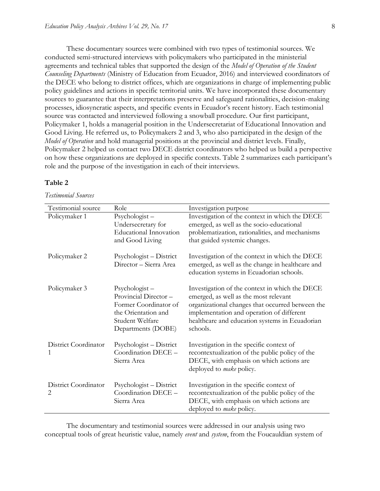These documentary sources were combined with two types of testimonial sources. We conducted semi-structured interviews with policymakers who participated in the ministerial agreements and technical tables that supported the design of the *Model of Operation of the Student Counseling Departments* (Ministry of Education from Ecuador, 2016) and interviewed coordinators of the DECE who belong to district offices, which are organizations in charge of implementing public policy guidelines and actions in specific territorial units. We have incorporated these documentary sources to guarantee that their interpretations preserve and safeguard rationalities, decision-making processes, idiosyncratic aspects, and specific events in Ecuador's recent history. Each testimonial source was contacted and interviewed following a snowball procedure. Our first participant, Policymaker 1, holds a managerial position in the Undersecretariat of Educational Innovation and Good Living. He referred us, to Policymakers 2 and 3, who also participated in the design of the *Model of Operation* and hold managerial positions at the provincial and district levels. Finally, Policymaker 2 helped us contact two DECE district coordinators who helped us build a perspective on how these organizations are deployed in specific contexts. Table 2 summarizes each participant's role and the purpose of the investigation in each of their interviews.

#### **Table 2**

#### *Testimonial Sources*

| Testimonial source        | Role                                                                                                                              | Investigation purpose                                                                                                                                                                                                                                  |
|---------------------------|-----------------------------------------------------------------------------------------------------------------------------------|--------------------------------------------------------------------------------------------------------------------------------------------------------------------------------------------------------------------------------------------------------|
| Policymaker 1             | $Psychologist -$<br>Undersecretary for<br><b>Educational Innovation</b><br>and Good Living                                        | Investigation of the context in which the DECE<br>emerged, as well as the socio-educational<br>problematization, rationalities, and mechanisms<br>that guided systemic changes.                                                                        |
| Policymaker 2             | Psychologist - District<br>Director - Sierra Area                                                                                 | Investigation of the context in which the DECE<br>emerged, as well as the change in healthcare and<br>education systems in Ecuadorian schools.                                                                                                         |
| Policymaker 3             | $Psychologist -$<br>Provincial Director-<br>Former Coordinator of<br>the Orientation and<br>Student Welfare<br>Departments (DOBE) | Investigation of the context in which the DECE<br>emerged, as well as the most relevant<br>organizational changes that occurred between the<br>implementation and operation of different<br>healthcare and education systems in Ecuadorian<br>schools. |
| District Coordinator      | Psychologist – District<br>Coordination DECE -<br>Sierra Area                                                                     | Investigation in the specific context of<br>recontextualization of the public policy of the<br>DECE, with emphasis on which actions are<br>deployed to <i>make</i> policy.                                                                             |
| District Coordinator<br>2 | Psychologist – District<br>Coordination DECE -<br>Sierra Area                                                                     | Investigation in the specific context of<br>recontextualization of the public policy of the<br>DECE, with emphasis on which actions are<br>deployed to <i>make</i> policy.                                                                             |

The documentary and testimonial sources were addressed in our analysis using two conceptual tools of great heuristic value, namely *event* and *system*, from the Foucauldian system of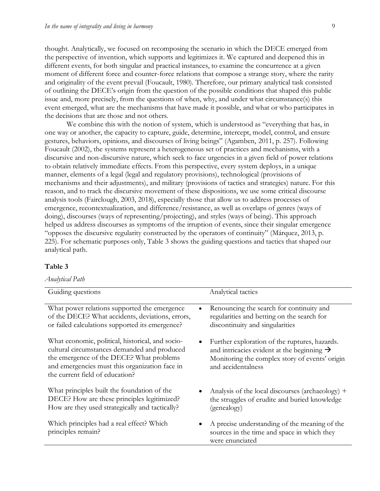thought. Analytically, we focused on recomposing the scenario in which the DECE emerged from the perspective of invention, which supports and legitimizes it. We captured and deepened this in different events, for both singular and practical instances, to examine the concurrence at a given moment of different force and counter-force relations that compose a strange story, where the rarity and originality of the event prevail (Foucault, 1980). Therefore, our primary analytical task consisted of outlining the DECE's origin from the question of the possible conditions that shaped this public issue and, more precisely, from the questions of when, why, and under what circumstance(s) this event emerged, what are the mechanisms that have made it possible, and what or who participates in the decisions that are those and not others.

We combine this with the notion of system, which is understood as "everything that has, in one way or another, the capacity to capture, guide, determine, intercept, model, control, and ensure gestures, behaviors, opinions, and discourses of living beings" (Agamben, 2011, p. 257). Following Foucault (2002), the systems represent a heterogeneous set of practices and mechanisms, with a discursive and non-discursive nature, which seek to face urgencies in a given field of power relations to obtain relatively immediate effects. From this perspective, every system deploys, in a unique manner, elements of a legal (legal and regulatory provisions), technological (provisions of mechanisms and their adjustments), and military (provisions of tactics and strategies) nature. For this reason, and to track the discursive movement of these dispositions, we use some critical discourse analysis tools (Fairclough, 2003, 2018), especially those that allow us to address processes of emergence, recontextualization, and difference/resistance, as well as overlaps of genres (ways of doing), discourses (ways of representing/projecting), and styles (ways of being). This approach helped us address discourses as symptoms of the irruption of events, since their singular emergence "opposes the discursive regularity constructed by the operators of continuity" (Márquez, 2013, p. 225). For schematic purposes only, Table 3 shows the guiding questions and tactics that shaped our analytical path.

#### **Table 3**

#### *Analytical Path*

| Guiding questions                                                                                                                                                                                                                      | Analytical tactics                                                                                                                                                              |
|----------------------------------------------------------------------------------------------------------------------------------------------------------------------------------------------------------------------------------------|---------------------------------------------------------------------------------------------------------------------------------------------------------------------------------|
| What power relations supported the emergence                                                                                                                                                                                           | Renouncing the search for continuity and                                                                                                                                        |
| of the DECE? What accidents, deviations, errors,                                                                                                                                                                                       | regularities and betting on the search for                                                                                                                                      |
| or failed calculations supported its emergence?                                                                                                                                                                                        | discontinuity and singularities                                                                                                                                                 |
| What economic, political, historical, and socio-<br>٠<br>cultural circumstances demanded and produced<br>the emergence of the DECE? What problems<br>and emergencies must this organization face in<br>the current field of education? | Further exploration of the ruptures, hazards.<br>and intricacies evident at the beginning $\rightarrow$<br>Monitoring the complex story of events' origin<br>and accidentalness |
| What principles built the foundation of the                                                                                                                                                                                            | Analysis of the local discourses (archaeology) +                                                                                                                                |
| DECE? How are these principles legitimized?                                                                                                                                                                                            | the struggles of erudite and buried knowledge                                                                                                                                   |
| How are they used strategically and tactically?                                                                                                                                                                                        | (genealogy)                                                                                                                                                                     |
| Which principles had a real effect? Which                                                                                                                                                                                              | A precise understanding of the meaning of the                                                                                                                                   |
| ٠                                                                                                                                                                                                                                      | sources in the time and space in which they                                                                                                                                     |
| principles remain?                                                                                                                                                                                                                     | were enunciated                                                                                                                                                                 |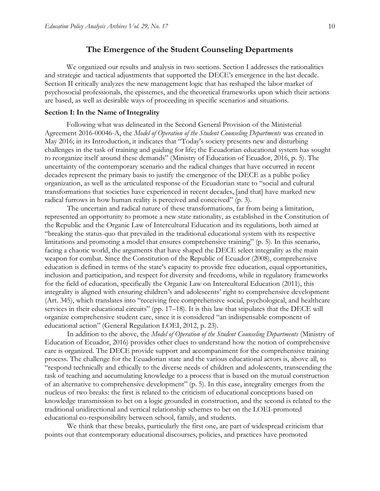### **The Emergence of the Student Counseling Departments**

We organized our results and analysis in two sections. Section I addresses the rationalities and strategic and tactical adjustments that supported the DECE's emergence in the last decade. Section II critically analyzes the new management logic that has reshaped the labor market of psychosocial professionals, the epistemes, and the theoretical frameworks upon which their actions are based, as well as desirable ways of proceeding in specific scenarios and situations.

#### **Section I: In the Name of Integrality**

Following what was delineated in the Second General Provision of the Ministerial Agreement 2016-00046-A, the *Model of Operation of the Student Counseling Departments* was created in May 2016; in its Introduction, it indicates that "Today's society presents new and disturbing challenges in the task of training and guiding for life; the Ecuadorian educational system has sought to reorganize itself around these demands" (Ministry of Education of Ecuador, 2016, p. 5). The uncertainty of the contemporary scenario and the radical changes that have occurred in recent decades represent the primary basis to justify the emergence of the DECE as a public policy organization, as well as the articulated response of the Ecuadorian state to "social and cultural transformations that societies have experienced in recent decades, [and that] have marked new radical furrows in how human reality is perceived and conceived" (p. 3).

The uncertain and radical nature of these transformations, far from being a limitation, represented an opportunity to promote a new state rationality, as established in the Constitution of the Republic and the Organic Law of Intercultural Education and its regulations, both aimed at "breaking the status-quo that prevailed in the traditional educational system with its respective limitations and promoting a model that ensures comprehensive training" (p. 5). In this scenario, facing a chaotic world, the arguments that have shaped the DECE select integrality as the main weapon for combat. Since the Constitution of the Republic of Ecuador (2008), comprehensive education is defined in terms of the state's capacity to provide free education, equal opportunities, inclusion and participation, and respect for diversity and freedoms, while in regulatory frameworks for the field of education, specifically the Organic Law on Intercultural Education (2011), this integrality is aligned with ensuring children's and adolescents' right to comprehensive development (Art. 345), which translates into "receiving free comprehensive social, psychological, and healthcare services in their educational circuits" (pp. 17–18). It is this law that stipulates that the DECE will organize comprehensive student care, since it is considered "an indispensable component of educational action" (General Regulation LOEI, 2012, p. 23).

In addition to the above, the *Model of Operation of the Student Counseling Departments* (Ministry of Education of Ecuador, 2016) provides other clues to understand how the notion of comprehensive care is organized. The DECE provide support and accompaniment for the comprehensive training process. The challenge for the Ecuadorian state and the various educational actors is, above all, to "respond technically and ethically to the diverse needs of children and adolescents, transcending the task of teaching and accumulating knowledge to a process that is based on the mutual construction of an alternative to comprehensive development" (p. 5). In this case, integrality emerges from the nucleus of two breaks: the first is related to the criticism of educational conceptions based on knowledge transmission to bet on a logic grounded in construction, and the second is related to the traditional unidirectional and vertical relationship schemes to bet on the LOEI-promoted educational co-responsibility between school, family, and students.

We think that these breaks, particularly the first one, are part of widespread criticism that points out that contemporary educational discourses, policies, and practices have promoted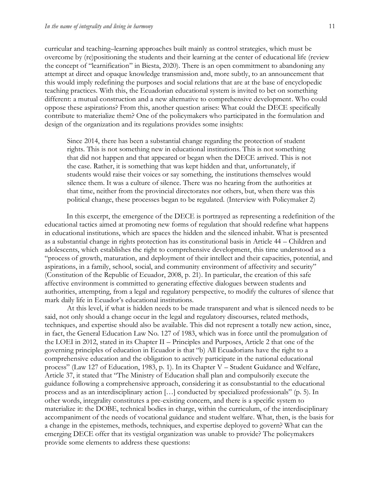curricular and teaching–learning approaches built mainly as control strategies, which must be overcome by (re)positioning the students and their learning at the center of educational life (review the concept of "learnification" in Biesta, 2020). There is an open commitment to abandoning any attempt at direct and opaque knowledge transmission and, more subtly, to an announcement that this would imply redefining the purposes and social relations that are at the base of encyclopedic teaching practices. With this, the Ecuadorian educational system is invited to bet on something different: a mutual construction and a new alternative to comprehensive development. Who could oppose these aspirations? From this, another question arises: What could the DECE specifically contribute to materialize them? One of the policymakers who participated in the formulation and design of the organization and its regulations provides some insights:

Since 2014, there has been a substantial change regarding the protection of student rights. This is not something new in educational institutions. This is not something that did not happen and that appeared or began when the DECE arrived. This is not the case. Rather, it is something that was kept hidden and that, unfortunately, if students would raise their voices or say something, the institutions themselves would silence them. It was a culture of silence. There was no hearing from the authorities at that time, neither from the provincial directorates nor others, but, when there was this political change, these processes began to be regulated. (Interview with Policymaker 2)

In this excerpt, the emergence of the DECE is portrayed as representing a redefinition of the educational tactics aimed at promoting new forms of regulation that should redefine what happens in educational institutions, which are spaces the hidden and the silenced inhabit. What is presented as a substantial change in rights protection has its constitutional basis in Article 44 – Children and adolescents, which establishes the right to comprehensive development, this time understood as a "process of growth, maturation, and deployment of their intellect and their capacities, potential, and aspirations, in a family, school, social, and community environment of affectivity and security" (Constitution of the Republic of Ecuador, 2008, p. 21). In particular, the creation of this safe affective environment is committed to generating effective dialogues between students and authorities, attempting, from a legal and regulatory perspective, to modify the cultures of silence that mark daily life in Ecuador's educational institutions.

At this level, if what is hidden needs to be made transparent and what is silenced needs to be said, not only should a change occur in the legal and regulatory discourses, related methods, techniques, and expertise should also be available. This did not represent a totally new action, since, in fact, the General Education Law No. 127 of 1983, which was in force until the promulgation of the LOEI in 2012, stated in its Chapter II – Principles and Purposes, Article 2 that one of the governing principles of education in Ecuador is that "b) All Ecuadorians have the right to a comprehensive education and the obligation to actively participate in the national educational process" (Law 127 of Education, 1983, p. 1). In its Chapter V – Student Guidance and Welfare, Article 37, it stated that "The Ministry of Education shall plan and compulsorily execute the guidance following a comprehensive approach, considering it as consubstantial to the educational process and as an interdisciplinary action […] conducted by specialized professionals" (p. 5). In other words, integrality constitutes a pre-existing concern, and there is a specific system to materialize it: the DOBE, technical bodies in charge, within the curriculum, of the interdisciplinary accompaniment of the needs of vocational guidance and student welfare. What, then, is the basis for a change in the epistemes, methods, techniques, and expertise deployed to govern? What can the emerging DECE offer that its vestigial organization was unable to provide? The policymakers provide some elements to address these questions: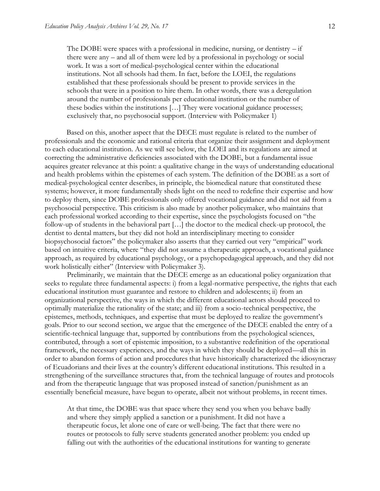The DOBE were spaces with a professional in medicine, nursing, or dentistry  $-$  if there were any – and all of them were led by a professional in psychology or social work. It was a sort of medical-psychological center within the educational institutions. Not all schools had them. In fact, before the LOEI, the regulations established that these professionals should be present to provide services in the schools that were in a position to hire them. In other words, there was a deregulation around the number of professionals per educational institution or the number of these bodies within the institutions […] They were vocational guidance processes; exclusively that, no psychosocial support. (Interview with Policymaker 1)

Based on this, another aspect that the DECE must regulate is related to the number of professionals and the economic and rational criteria that organize their assignment and deployment to each educational institution. As we will see below, the LOEI and its regulations are aimed at correcting the administrative deficiencies associated with the DOBE, but a fundamental issue acquires greater relevance at this point: a qualitative change in the ways of understanding educational and health problems within the epistemes of each system. The definition of the DOBE as a sort of medical-psychological center describes, in principle, the biomedical nature that constituted these systems; however, it more fundamentally sheds light on the need to redefine their expertise and how to deploy them, since DOBE professionals only offered vocational guidance and did not aid from a psychosocial perspective. This criticism is also made by another policymaker, who maintains that each professional worked according to their expertise, since the psychologists focused on "the follow-up of students in the behavioral part […] the doctor to the medical check-up protocol, the dentist to dental matters, but they did not hold an interdisciplinary meeting to consider biopsychosocial factors" the policymaker also asserts that they carried out very "empirical" work based on intuitive criteria, where "they did not assume a therapeutic approach, a vocational guidance approach, as required by educational psychology, or a psychopedagogical approach, and they did not work holistically either" (Interview with Policymaker 3).

Preliminarily, we maintain that the DECE emerge as an educational policy organization that seeks to regulate three fundamental aspects: i) from a legal-normative perspective, the rights that each educational institution must guarantee and restore to children and adolescents; ii) from an organizational perspective, the ways in which the different educational actors should proceed to optimally materialize the rationality of the state; and iii) from a socio-technical perspective, the epistemes, methods, techniques, and expertise that must be deployed to realize the government's goals. Prior to our second section, we argue that the emergence of the DECE enabled the entry of a scientific-technical language that, supported by contributions from the psychological sciences, contributed, through a sort of epistemic imposition, to a substantive redefinition of the operational framework, the necessary experiences, and the ways in which they should be deployed––all this in order to abandon forms of action and procedures that have historically characterized the idiosyncrasy of Ecuadorians and their lives at the country's different educational institutions. This resulted in a strengthening of the surveillance structures that, from the technical language of routes and protocols and from the therapeutic language that was proposed instead of sanction/punishment as an essentially beneficial measure, have begun to operate, albeit not without problems, in recent times.

At that time, the DOBE was that space where they send you when you behave badly and where they simply applied a sanction or a punishment. It did not have a therapeutic focus, let alone one of care or well-being. The fact that there were no routes or protocols to fully serve students generated another problem: you ended up falling out with the authorities of the educational institutions for wanting to generate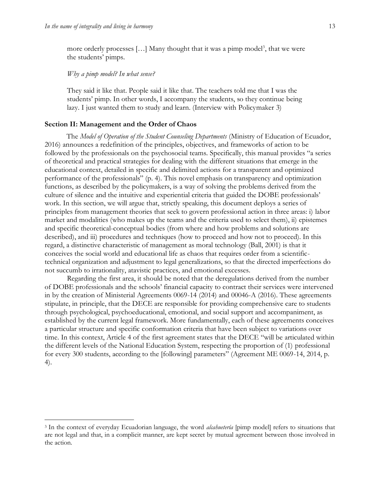$\overline{a}$ 

more orderly processes [...] Many thought that it was a pimp model<sup>3</sup>, that we were the students' pimps.

#### *Why a pimp model? In what sense?*

They said it like that. People said it like that. The teachers told me that I was the students' pimp. In other words, I accompany the students, so they continue being lazy. I just wanted them to study and learn. (Interview with Policymaker 3)

#### **Section II: Management and the Order of Chaos**

The *Model of Operation of the Student Counseling Departments* (Ministry of Education of Ecuador, 2016) announces a redefinition of the principles, objectives, and frameworks of action to be followed by the professionals on the psychosocial teams. Specifically, this manual provides "a series of theoretical and practical strategies for dealing with the different situations that emerge in the educational context, detailed in specific and delimited actions for a transparent and optimized performance of the professionals" (p. 4). This novel emphasis on transparency and optimization functions, as described by the policymakers, is a way of solving the problems derived from the culture of silence and the intuitive and experiential criteria that guided the DOBE professionals' work. In this section, we will argue that, strictly speaking, this document deploys a series of principles from management theories that seek to govern professional action in three areas: i) labor market and modalities (who makes up the teams and the criteria used to select them), ii) epistemes and specific theoretical-conceptual bodies (from where and how problems and solutions are described), and iii) procedures and techniques (how to proceed and how not to proceed). In this regard, a distinctive characteristic of management as moral technology (Ball, 2001) is that it conceives the social world and educational life as chaos that requires order from a scientifictechnical organization and adjustment to legal generalizations, so that the directed imperfections do not succumb to irrationality, atavistic practices, and emotional excesses.

Regarding the first area, it should be noted that the deregulations derived from the number of DOBE professionals and the schools' financial capacity to contract their services were intervened in by the creation of Ministerial Agreements 0069-14 (2014) and 00046-A (2016). These agreements stipulate, in principle, that the DECE are responsible for providing comprehensive care to students through psychological, psychoeducational, emotional, and social support and accompaniment, as established by the current legal framework. More fundamentally, each of these agreements conceives a particular structure and specific conformation criteria that have been subject to variations over time. In this context, Article 4 of the first agreement states that the DECE "will be articulated within the different levels of the National Education System, respecting the proportion of (1) professional for every 300 students, according to the [following] parameters" (Agreement ME 0069-14, 2014, p. 4).

<sup>3</sup> In the context of everyday Ecuadorian language, the word *alcahuetería* [pimp model] refers to situations that are not legal and that, in a complicit manner, are kept secret by mutual agreement between those involved in the action.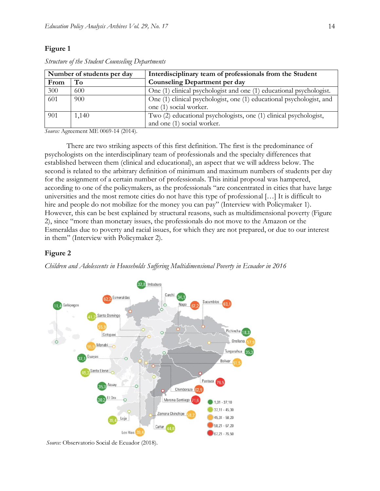### **Figure 1**

|                  | Number of students per day | Interdisciplinary team of professionals from the Student             |
|------------------|----------------------------|----------------------------------------------------------------------|
| From             | To                         | <b>Counseling Department per day</b>                                 |
| 300              | 600                        | One (1) clinical psychologist and one (1) educational psychologist.  |
| $\overline{601}$ | 900                        | One (1) clinical psychologist, one (1) educational psychologist, and |
|                  |                            | one (1) social worker.                                               |
| 901              | 1,140                      | Two (2) educational psychologists, one (1) clinical psychologist,    |
|                  |                            | and one (1) social worker.                                           |

*Structure of the Student Counseling Departments*

*Source:* Agreement ME 0069-14 (2014).

There are two striking aspects of this first definition. The first is the predominance of psychologists on the interdisciplinary team of professionals and the specialty differences that established between them (clinical and educational), an aspect that we will address below. The second is related to the arbitrary definition of minimum and maximum numbers of students per day for the assignment of a certain number of professionals. This initial proposal was hampered, according to one of the policymakers, as the professionals "are concentrated in cities that have large universities and the most remote cities do not have this type of professional […] It is difficult to hire and people do not mobilize for the money you can pay" (Interview with Policymaker 1). However, this can be best explained by structural reasons, such as multidimensional poverty (Figure 2), since "more than monetary issues, the professionals do not move to the Amazon or the Esmeraldas due to poverty and racial issues, for which they are not prepared, or due to our interest in them" (Interview with Policymaker 2).

#### **Figure 2**

*Children and Adolescents in Households Suffering Multidimensional Poverty in Ecuador in 2016*



*Source:* Observatorio Social de Ecuador (2018).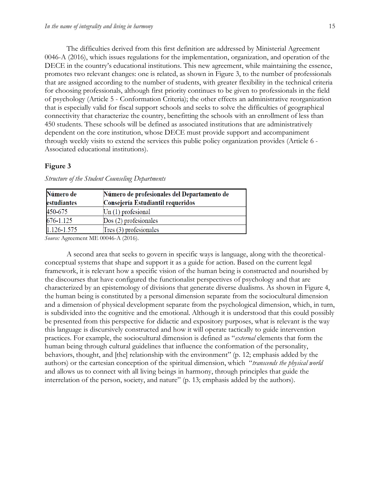The difficulties derived from this first definition are addressed by Ministerial Agreement 0046-A (2016), which issues regulations for the implementation, organization, and operation of the DECE in the country's educational institutions. This new agreement, while maintaining the essence, promotes two relevant changes: one is related, as shown in Figure 3, to the number of professionals that are assigned according to the number of students, with greater flexibility in the technical criteria for choosing professionals, although first priority continues to be given to professionals in the field of psychology (Article 5 - Conformation Criteria); the other effects an administrative reorganization that is especially valid for fiscal support schools and seeks to solve the difficulties of geographical connectivity that characterize the country, benefitting the schools with an enrollment of less than 450 students. These schools will be defined as associated institutions that are administratively dependent on the core institution, whose DECE must provide support and accompaniment through weekly visits to extend the services this public policy organization provides (Article 6 - Associated educational institutions).

#### **Figure 3**

| Número de             | Número de profesionales del Departamento de                                                                                                                                                                                                                                                                                                                                          |
|-----------------------|--------------------------------------------------------------------------------------------------------------------------------------------------------------------------------------------------------------------------------------------------------------------------------------------------------------------------------------------------------------------------------------|
| estudiantes           | Consejería Estudiantil requeridos                                                                                                                                                                                                                                                                                                                                                    |
| 450-675               | $Un(1)$ profesional                                                                                                                                                                                                                                                                                                                                                                  |
| 676-1.125             | $Dos(2)$ profesionales                                                                                                                                                                                                                                                                                                                                                               |
| 1.126-1.575           | $Tres(3)$ profesionales                                                                                                                                                                                                                                                                                                                                                              |
| $\alpha$ and $\alpha$ | $\overline{1}$ $\overline{1}$ $\overline{1}$ $\overline{0}$ $\overline{0}$ $\overline{1}$ $\overline{1}$ $\overline{1}$ $\overline{1}$ $\overline{1}$ $\overline{1}$ $\overline{0}$ $\overline{1}$ $\overline{1}$ $\overline{1}$ $\overline{1}$ $\overline{1}$ $\overline{1}$ $\overline{1}$ $\overline{0}$ $\overline{0}$ $\overline{1}$ $\overline{1}$ $\overline{1}$ $\overline{$ |

*Structure of the Student Counseling Departments*

*Source:* Agreement ME 00046-A (2016).

A second area that seeks to govern in specific ways is language, along with the theoreticalconceptual systems that shape and support it as a guide for action. Based on the current legal framework, it is relevant how a specific vision of the human being is constructed and nourished by the discourses that have configured the functionalist perspectives of psychology and that are characterized by an epistemology of divisions that generate diverse dualisms. As shown in Figure 4, the human being is constituted by a personal dimension separate from the sociocultural dimension and a dimension of physical development separate from the psychological dimension, which, in turn, is subdivided into the cognitive and the emotional. Although it is understood that this could possibly be presented from this perspective for didactic and expository purposes, what is relevant is the way this language is discursively constructed and how it will operate tactically to guide intervention practices. For example, the sociocultural dimension is defined as "*external* elements that form the human being through cultural guidelines that influence the conformation of the personality, behaviors, thought, and [the] relationship with the environment" (p. 12; emphasis added by the authors) or the cartesian conception of the spiritual dimension, which "*transcends the physical world* and allows us to connect with all living beings in harmony, through principles that guide the interrelation of the person, society, and nature" (p. 13; emphasis added by the authors).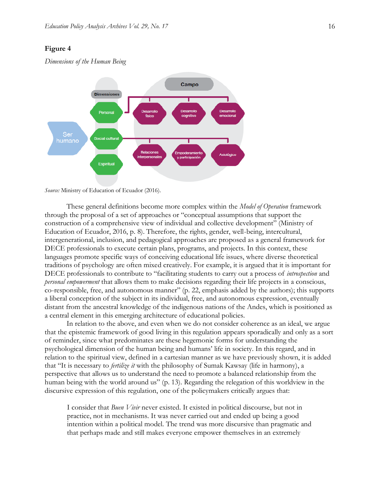#### **Figure 4**

*Dimensions of the Human Being* 



*Source:* Ministry of Education of Ecuador (2016).

These general definitions become more complex within the *Model of Operation* framework through the proposal of a set of approaches or "conceptual assumptions that support the construction of a comprehensive view of individual and collective development" (Ministry of Education of Ecuador, 2016, p. 8). Therefore, the rights, gender, well-being, intercultural, intergenerational, inclusion, and pedagogical approaches are proposed as a general framework for DECE professionals to execute certain plans, programs, and projects. In this context, these languages promote specific ways of conceiving educational life issues, where diverse theoretical traditions of psychology are often mixed creatively. For example, it is argued that it is important for DECE professionals to contribute to "facilitating students to carry out a process of *introspection* and *personal empowerment* that allows them to make decisions regarding their life projects in a conscious, co-responsible, free, and autonomous manner" (p. 22, emphasis added by the authors); this supports a liberal conception of the subject in its individual, free, and autonomous expression, eventually distant from the ancestral knowledge of the indigenous nations of the Andes, which is positioned as a central element in this emerging architecture of educational policies.

In relation to the above, and even when we do not consider coherence as an ideal, we argue that the epistemic framework of good living in this regulation appears sporadically and only as a sort of reminder, since what predominates are these hegemonic forms for understanding the psychological dimension of the human being and humans' life in society. In this regard, and in relation to the spiritual view, defined in a cartesian manner as we have previously shown, it is added that "It is necessary to *fertilize it* with the philosophy of Sumak Kawsay (life in harmony), a perspective that allows us to understand the need to promote a balanced relationship from the human being with the world around us" (p. 13). Regarding the relegation of this worldview in the discursive expression of this regulation, one of the policymakers critically argues that:

I consider that *Buen Vivir* never existed. It existed in political discourse, but not in practice, not in mechanisms. It was never carried out and ended up being a good intention within a political model. The trend was more discursive than pragmatic and that perhaps made and still makes everyone empower themselves in an extremely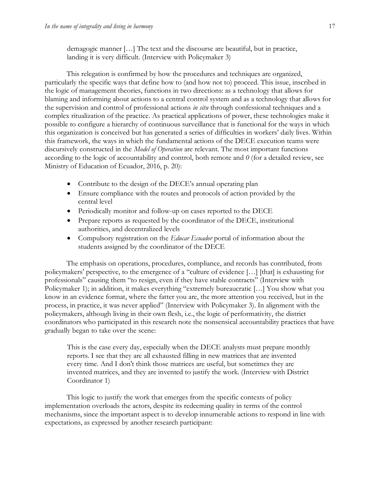demagogic manner […] The text and the discourse are beautiful, but in practice, landing it is very difficult. (Interview with Policymaker 3)

This relegation is confirmed by how the procedures and techniques are organized, particularly the specific ways that define how to (and how not to) proceed. This issue, inscribed in the logic of management theories, functions in two directions: as a technology that allows for blaming and informing about actions to a central control system and as a technology that allows for the supervision and control of professional actions *in situ* through confessional techniques and a complex ritualization of the practice. As practical applications of power, these technologies make it possible to configure a hierarchy of continuous surveillance that is functional for the ways in which this organization is conceived but has generated a series of difficulties in workers' daily lives. Within this framework, the ways in which the fundamental actions of the DECE execution teams were discursively constructed in the *Model of Operation* are relevant. The most important functions according to the logic of accountability and control, both remote and *0* (for a detailed review, see Ministry of Education of Ecuador, 2016, p. 20):

- Contribute to the design of the DECE's annual operating plan
- Ensure compliance with the routes and protocols of action provided by the central level
- Periodically monitor and follow-up on cases reported to the DECE
- Prepare reports as requested by the coordinator of the DECE, institutional authorities, and decentralized levels
- Compulsory registration on the *Educar Ecuador* portal of information about the students assigned by the coordinator of the DECE

The emphasis on operations, procedures, compliance, and records has contributed, from policymakers' perspective, to the emergence of a "culture of evidence […] [that] is exhausting for professionals" causing them "to resign, even if they have stable contracts" (Interview with Policymaker 1); in addition, it makes everything "extremely bureaucratic […] You show what you know in an evidence format, where the fatter you are, the more attention you received, but in the process, in practice, it was never applied" (Interview with Policymaker 3). In alignment with the policymakers, although living in their own flesh, i.e., the logic of performativity, the district coordinators who participated in this research note the nonsensical accountability practices that have gradually began to take over the scene:

This is the case every day, especially when the DECE analysts must prepare monthly reports. I see that they are all exhausted filling in new matrices that are invented every time. And I don't think those matrices are useful, but sometimes they are invented matrices, and they are invented to justify the work. (Interview with District Coordinator 1)

This logic to justify the work that emerges from the specific contexts of policy implementation overloads the actors, despite its redeeming quality in terms of the control mechanisms, since the important aspect is to develop innumerable actions to respond in line with expectations, as expressed by another research participant: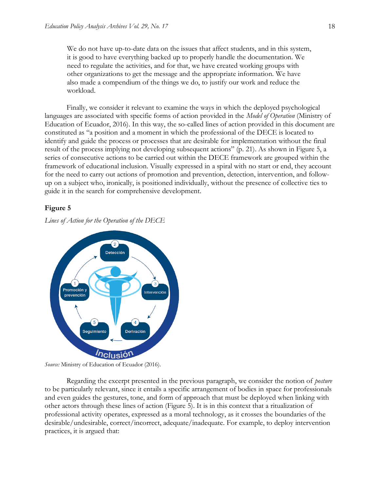We do not have up-to-date data on the issues that affect students, and in this system, it is good to have everything backed up to properly handle the documentation. We need to regulate the activities, and for that, we have created working groups with other organizations to get the message and the appropriate information. We have also made a compendium of the things we do, to justify our work and reduce the workload.

Finally, we consider it relevant to examine the ways in which the deployed psychological languages are associated with specific forms of action provided in the *Model of Operation* (Ministry of Education of Ecuador, 2016). In this way, the so-called lines of action provided in this document are constituted as "a position and a moment in which the professional of the DECE is located to identify and guide the process or processes that are desirable for implementation without the final result of the process implying not developing subsequent actions" (p. 21). As shown in Figure 5, a series of consecutive actions to be carried out within the DECE framework are grouped within the framework of educational inclusion. Visually expressed in a spiral with no start or end, they account for the need to carry out actions of promotion and prevention, detection, intervention, and followup on a subject who, ironically, is positioned individually, without the presence of collective ties to guide it in the search for comprehensive development.

#### **Figure 5**

*Lines of Action for the Operation of the DECE*



*Source:* Ministry of Education of Ecuador (2016).

Regarding the excerpt presented in the previous paragraph, we consider the notion of *posture* to be particularly relevant, since it entails a specific arrangement of bodies in space for professionals and even guides the gestures, tone, and form of approach that must be deployed when linking with other actors through these lines of action (Figure 5). It is in this context that a ritualization of professional activity operates, expressed as a moral technology, as it crosses the boundaries of the desirable/undesirable, correct/incorrect, adequate/inadequate. For example, to deploy intervention practices, it is argued that: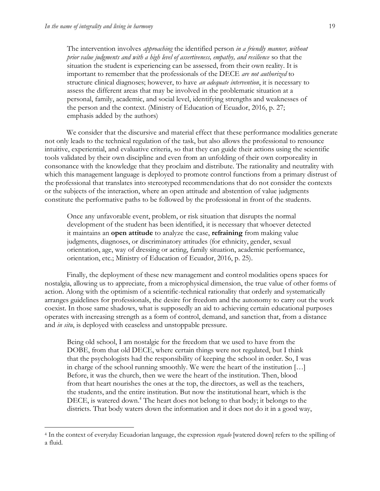$\overline{a}$ 

The intervention involves *approaching* the identified person *in a friendly manner, without prior value judgments and with a high level of assertiveness, empathy, and resilience* so that the situation the student is experiencing can be assessed, from their own reality. It is important to remember that the professionals of the DECE *are not authorized* to structure clinical diagnoses; however, to have *an adequate intervention*, it is necessary to assess the different areas that may be involved in the problematic situation at a personal, family, academic, and social level, identifying strengths and weaknesses of the person and the context. (Ministry of Education of Ecuador, 2016, p. 27; emphasis added by the authors)

We consider that the discursive and material effect that these performance modalities generate not only leads to the technical regulation of the task, but also allows the professional to renounce intuitive, experiential, and evaluative criteria, so that they can guide their actions using the scientific tools validated by their own discipline and even from an unfolding of their own corporeality in consonance with the knowledge that they proclaim and distribute. The rationality and neutrality with which this management language is deployed to promote control functions from a primary distrust of the professional that translates into stereotyped recommendations that do not consider the contexts or the subjects of the interaction, where an open attitude and abstention of value judgments constitute the performative paths to be followed by the professional in front of the students.

Once any unfavorable event, problem, or risk situation that disrupts the normal development of the student has been identified, it is necessary that whoever detected it maintains an **open attitude** to analyze the case, **refraining** from making value judgments, diagnoses, or discriminatory attitudes (for ethnicity, gender, sexual orientation, age, way of dressing or acting, family situation, academic performance, orientation, etc.; Ministry of Education of Ecuador, 2016, p. 25).

Finally, the deployment of these new management and control modalities opens spaces for nostalgia, allowing us to appreciate, from a microphysical dimension, the true value of other forms of action. Along with the optimism of a scientific-technical rationality that orderly and systematically arranges guidelines for professionals, the desire for freedom and the autonomy to carry out the work coexist. In those same shadows, what is supposedly an aid to achieving certain educational purposes operates with increasing strength as a form of control, demand, and sanction that, from a distance and *in situ*, is deployed with ceaseless and unstoppable pressure.

Being old school, I am nostalgic for the freedom that we used to have from the DOBE, from that old DECE, where certain things were not regulated, but I think that the psychologists had the responsibility of keeping the school in order. So, I was in charge of the school running smoothly. We were the heart of the institution […] Before, it was the church, then we were the heart of the institution. Then, blood from that heart nourishes the ones at the top, the directors, as well as the teachers, the students, and the entire institution. But now the institutional heart, which is the DECE, is watered down.<sup>4</sup> The heart does not belong to that body; it belongs to the districts. That body waters down the information and it does not do it in a good way,

<sup>4</sup> In the context of everyday Ecuadorian language, the expression *regado* [watered down] refers to the spilling of a fluid.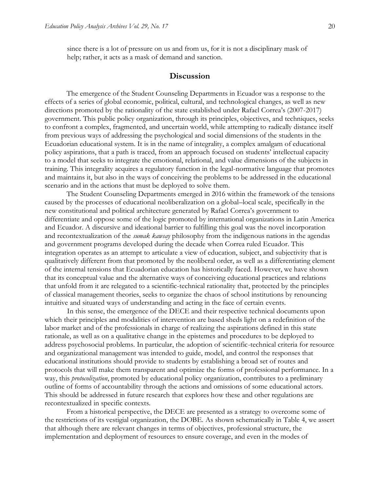since there is a lot of pressure on us and from us, for it is not a disciplinary mask of help; rather, it acts as a mask of demand and sanction.

# **Discussion**

The emergence of the Student Counseling Departments in Ecuador was a response to the effects of a series of global economic, political, cultural, and technological changes, as well as new directions promoted by the rationality of the state established under Rafael Correa's (2007-2017) government. This public policy organization, through its principles, objectives, and techniques, seeks to confront a complex, fragmented, and uncertain world, while attempting to radically distance itself from previous ways of addressing the psychological and social dimensions of the students in the Ecuadorian educational system. It is in the name of integrality, a complex amalgam of educational policy aspirations, that a path is traced, from an approach focused on students' intellectual capacity to a model that seeks to integrate the emotional, relational, and value dimensions of the subjects in training. This integrality acquires a regulatory function in the legal-normative language that promotes and maintains it, but also in the ways of conceiving the problems to be addressed in the educational scenario and in the actions that must be deployed to solve them.

The Student Counseling Departments emerged in 2016 within the framework of the tensions caused by the processes of educational neoliberalization on a global–local scale, specifically in the new constitutional and political architecture generated by Rafael Correa's government to differentiate and oppose some of the logic promoted by international organizations in Latin America and Ecuador. A discursive and ideational barrier to fulfilling this goal was the novel incorporation and recontextualization of the *sumak kawsay* philosophy from the indigenous nations in the agendas and government programs developed during the decade when Correa ruled Ecuador. This integration operates as an attempt to articulate a view of education, subject, and subjectivity that is qualitatively different from that promoted by the neoliberal order, as well as a differentiating element of the internal tensions that Ecuadorian education has historically faced. However, we have shown that its conceptual value and the alternative ways of conceiving educational practices and relations that unfold from it are relegated to a scientific-technical rationality that, protected by the principles of classical management theories, seeks to organize the chaos of school institutions by renouncing intuitive and situated ways of understanding and acting in the face of certain events.

In this sense, the emergence of the DECE and their respective technical documents upon which their principles and modalities of intervention are based sheds light on a redefinition of the labor market and of the professionals in charge of realizing the aspirations defined in this state rationale, as well as on a qualitative change in the epistemes and procedures to be deployed to address psychosocial problems. In particular, the adoption of scientific-technical criteria for resource and organizational management was intended to guide, model, and control the responses that educational institutions should provide to students by establishing a broad set of routes and protocols that will make them transparent and optimize the forms of professional performance. In a way, this *protocolization*, promoted by educational policy organization, contributes to a preliminary outline of forms of accountability through the actions and omissions of some educational actors. This should be addressed in future research that explores how these and other regulations are recontextualized in specific contexts.

From a historical perspective, the DECE are presented as a strategy to overcome some of the restrictions of its vestigial organization, the DOBE. As shown schematically in Table 4, we assert that although there are relevant changes in terms of objectives, professional structure, the implementation and deployment of resources to ensure coverage, and even in the modes of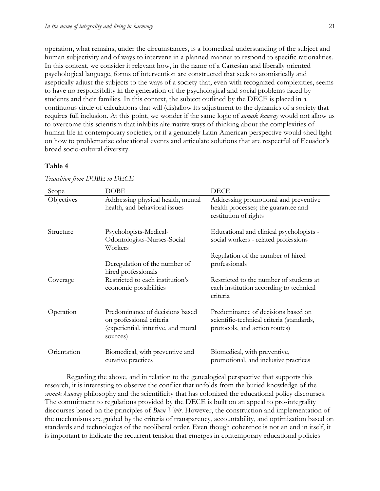operation, what remains, under the circumstances, is a biomedical understanding of the subject and human subjectivity and of ways to intervene in a planned manner to respond to specific rationalities. In this context, we consider it relevant how, in the name of a Cartesian and liberally oriented psychological language, forms of intervention are constructed that seek to atomistically and aseptically adjust the subjects to the ways of a society that, even with recognized complexities, seems to have no responsibility in the generation of the psychological and social problems faced by students and their families. In this context, the subject outlined by the DECE is placed in a continuous circle of calculations that will (dis)allow its adjustment to the dynamics of a society that requires full inclusion. At this point, we wonder if the same logic of *sumak kawsay* would not allow us to overcome this scientism that inhibits alternative ways of thinking about the complexities of human life in contemporary societies, or if a genuinely Latin American perspective would shed light on how to problematize educational events and articulate solutions that are respectful of Ecuador's broad socio-cultural diversity.

#### **Table 4**

| Scope       | <b>DOBE</b>                                                                                                    | <b>DECE</b>                                                                                                      |
|-------------|----------------------------------------------------------------------------------------------------------------|------------------------------------------------------------------------------------------------------------------|
| Objectives  | Addressing physical health, mental<br>health, and behavioral issues                                            | Addressing promotional and preventive<br>health processes; the guarantee and<br>restitution of rights            |
| Structure   | Psychologists-Medical-<br>Odontologists-Nurses-Social<br>Workers                                               | Educational and clinical psychologists -<br>social workers - related professions                                 |
|             | Deregulation of the number of<br>hired professionals                                                           | Regulation of the number of hired<br>professionals                                                               |
| Coverage    | Restricted to each institution's<br>economic possibilities                                                     | Restricted to the number of students at<br>each institution according to technical<br>criteria                   |
| Operation   | Predominance of decisions based<br>on professional criteria<br>(experiential, intuitive, and moral<br>sources) | Predominance of decisions based on<br>scientific-technical criteria (standards,<br>protocols, and action routes) |
| Orientation | Biomedical, with preventive and<br>curative practices                                                          | Biomedical, with preventive,<br>promotional, and inclusive practices                                             |

*Transition from DOBE to DECE*

Regarding the above, and in relation to the genealogical perspective that supports this research, it is interesting to observe the conflict that unfolds from the buried knowledge of the *sumak kawsay* philosophy and the scientificity that has colonized the educational policy discourses. The commitment to regulations provided by the DECE is built on an appeal to pro-integrality discourses based on the principles of *Buen Vivir*. However, the construction and implementation of the mechanisms are guided by the criteria of transparency, accountability, and optimization based on standards and technologies of the neoliberal order. Even though coherence is not an end in itself, it is important to indicate the recurrent tension that emerges in contemporary educational policies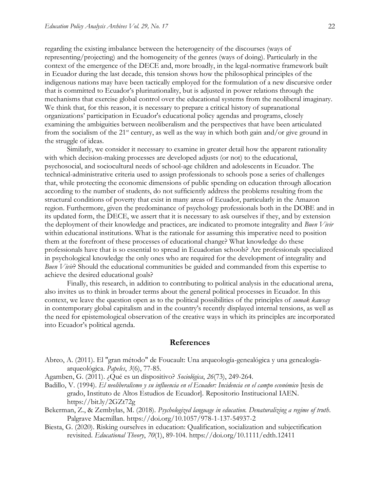regarding the existing imbalance between the heterogeneity of the discourses (ways of representing/projecting) and the homogeneity of the genres (ways of doing). Particularly in the context of the emergence of the DECE and, more broadly, in the legal-normative framework built in Ecuador during the last decade, this tension shows how the philosophical principles of the indigenous nations may have been tactically employed for the formulation of a new discursive order that is committed to Ecuador's plurinationality, but is adjusted in power relations through the mechanisms that exercise global control over the educational systems from the neoliberal imaginary. We think that, for this reason, it is necessary to prepare a critical history of supranational organizations' participation in Ecuador's educational policy agendas and programs, closely examining the ambiguities between neoliberalism and the perspectives that have been articulated from the socialism of the  $21^{st}$  century, as well as the way in which both gain and/or give ground in the struggle of ideas.

Similarly, we consider it necessary to examine in greater detail how the apparent rationality with which decision-making processes are developed adjusts (or not) to the educational, psychosocial, and sociocultural needs of school-age children and adolescents in Ecuador. The technical-administrative criteria used to assign professionals to schools pose a series of challenges that, while protecting the economic dimensions of public spending on education through allocation according to the number of students, do not sufficiently address the problems resulting from the structural conditions of poverty that exist in many areas of Ecuador, particularly in the Amazon region. Furthermore, given the predominance of psychology professionals both in the DOBE and in its updated form, the DECE, we assert that it is necessary to ask ourselves if they, and by extension the deployment of their knowledge and practices, are indicated to promote integrality and *Buen Vivir* within educational institutions. What is the rationale for assuming this imperative need to position them at the forefront of these processes of educational change? What knowledge do these professionals have that is so essential to spread in Ecuadorian schools? Are professionals specialized in psychological knowledge the only ones who are required for the development of integrality and *Buen Vivir*? Should the educational communities be guided and commanded from this expertise to achieve the desired educational goals?

Finally, this research, in addition to contributing to political analysis in the educational arena, also invites us to think in broader terms about the general political processes in Ecuador. In this context, we leave the question open as to the political possibilities of the principles of *sumak kawsay* in contemporary global capitalism and in the country's recently displayed internal tensions, as well as the need for epistemological observation of the creative ways in which its principles are incorporated into Ecuador's political agenda.

#### **References**

- Abreo, A. (2011). El "gran método" de Foucault: Una arqueología-genealógica y una genealogíaarqueológica. *Papeles*, *3*(6), 77-85.
- Agamben, G. (2011). ¿Qué es un dispositivo? *Sociológica*, *26*(73), 249-264.
- Badillo, V. (1994). *El neoliberalismo y su influencia en el Ecuador: Incidencia en el campo económico* [tesis de grado, Instituto de Altos Estudios de Ecuador]. Repositorio Institucional IAEN. <https://bit.ly/2GZt72g>
- Bekerman, Z., & Zembylas, M. (2018). *Psychologized language in education. Denaturalizing a regime of truth*. Palgrave Macmillan.<https://doi.org/10.1057/978-1-137-54937-2>
- Biesta, G. (2020). Risking ourselves in education: Qualification, socialization and subjectification revisited. *Educational Theory*, *70*(1), 89-104.<https://doi.org/10.1111/edth.12411>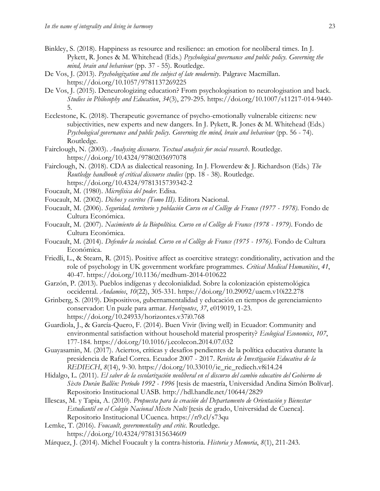- Binkley, S. (2018). Happiness as resource and resilience: an emotion for neoliberal times. In J. Pykett, R. Jones & M. Whitehead (Eds.) *Psychological governance and public policy. Governing the mind, brain and behaviour* (pp. 37 - 55). Routledge.
- De Vos, J. (2013). *Psychologization and the subject of late modernity*. Palgrave Macmillan. <https://doi.org/10.1057/9781137269225>
- De Vos, J. (2015). Deneurologizing education? From psychologisation to neurologisation and back. *Studies in Philosophy and Education*, *34*(3), 279-295. [https://doi.org/10.1007/s11217-014-9440-](https://doi.org/10.1007/s11217-014-9440-5) [5.](https://doi.org/10.1007/s11217-014-9440-5)
- Ecclestone, K. (2018). Therapeutic governance of psycho-emotionally vulnerable citizens: new subjectivities, new experts and new dangers. In J. Pykett, R. Jones & M. Whitehead (Eds.) *Psychological governance and public policy. Governing the mind, brain and behaviour* (pp. 56 - 74). Routledge.
- Fairclough, N. (2003). *Analysing discourse. Textual analysis for social research*. Routledge. <https://doi.org/10.4324/9780203697078>
- Fairclough, N. (2018). CDA as dialectical reasoning. In J. Flowerdew & J. Richardson (Eds.) *The Routledge handbook of critical discourse studies* (pp. 18 - 38). Routledge. <https://doi.org/10.4324/9781315739342-2>
- Foucault, M. (1980). *Microfísica del poder*. Edisa.
- Foucault, M. (2002). *Dichos y escritos (Tomo III)*. Editora Nacional.
- Foucault, M. (2006). *Seguridad, territorio y población Curso en el Collège de France (1977 - 1978)*. Fondo de Cultura Económica.
- Foucault, M. (2007). *Nacimiento de la Biopolítica. Curso en el Collège de France (1978 - 1979)*. Fondo de Cultura Económica.
- Foucault, M. (2014). *Defender la sociedad. Curso en el Collège de France (1975 - 1976)*. Fondo de Cultura Económica.
- Friedli, L., & Stearn, R. (2015). Positive affect as coercitive strategy: conditionality, activation and the role of psychology in UK government workfare programmes. *Critical Medical Humanities*, *41*, 40-47. <https://doi.org/10.1136/medhum-2014-010622>
- Garzón, P. (2013). Pueblos indígenas y decolonialidad. Sobre la colonización epistemológica occidental. *Andamios*, *10*(22), 305-331. <https://doi.org/10.29092/uacm.v10i22.278>
- Grinberg, S. (2019). Dispositivos, gubernamentalidad y educación en tiempos de gerenciamiento conservador: Un puzle para armar. *Horizontes*, *37*, e019019, 1-23. <https://doi.org/10.24933/horizontes.v37i0.768>
- Guardiola, J., & García-Quero, F. (2014). Buen Vivir (living well) in Ecuador: Community and environmental satisfaction without household material prosperity? *Ecological Economics*, *107*, 177-184. <https://doi.org/10.1016/j.ecolecon.2014.07.032>
- Guayasamin, M. (2017). Aciertos, críticas y desafíos pendientes de la política educativa durante la presidencia de Rafael Correa. Ecuador 2007 - 2017. *Revista de Investigación Educativa de la REDIECH*, *8*(14), 9-30. [https://doi.org/10.33010/ie\\_rie\\_rediech.v8i14.24](https://doi.org/10.33010/ie_rie_rediech.v8i14.24)
- Hidalgo, L. (2011). *El saber de la escolarización neoliberal en el discurso del cambio educativo del Gobierno de Sixto Durán Ballén: Período 1992 - 1996* [tesis de maestría, Universidad Andina Simón Bolívar]. Repositorio Institucional UASB.<http://hdl.handle.net/10644/2829>
- Illescas, M. y Tapia, A. (2010). *Propuesta para la creación del Departamento de Orientación y Bienestar Estudiantil en el Colegio Nacional Mixto Nulti* [tesis de grado, Universidad de Cuenca]. Repositorio Institucional UCuenca.<https://n9.cl/s73qu>
- Lemke, T. (2016). *Foucault, governmentality and critic*. Routledge. <https://doi.org/10.4324/9781315634609>
- Márquez, J. (2014). Michel Foucault y la contra-historia. *Historia y Memoria*, *8*(1), 211-243.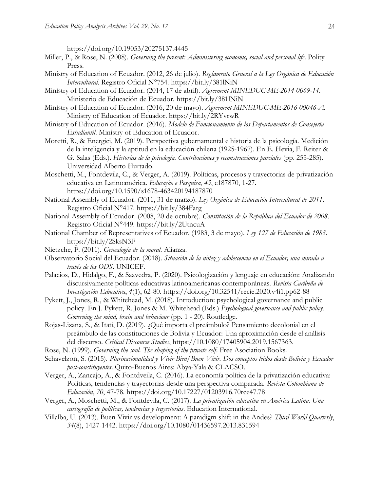<https://doi.org/10.19053/20275137.4445>

- Miller, P., & Rose, N. (2008). *Governing the present: Administering economic, social and personal life*. Polity Press.
- Ministry of Education of Ecuador. (2012, 26 de julio). *Reglamento General a la Ley Orgánica de Educación Intercultural*. Registro Oficial N°754.<https://bit.ly/381lNiN>
- Ministry of Education of Ecuador. (2014, 17 de abril). *Agreement MINEDUC-ME-2014 0069-14*. Ministerio de Educación de Ecuador.<https://bit.ly/381lNiN>
- Ministry of Education of Ecuador. (2016, 20 de mayo). *Agreement MINEDUC-ME-2016 00046-A.*  Ministry of Education of Ecuador.<https://bit.ly/2RYvrwR>
- Ministry of Education of Ecuador. (2016). *Modelo de Funcionamiento de los Departamentos de Consejería Estudiantil*. Ministry of Education of Ecuador.
- Moretti, R., & Energici, M. (2019). Perspectiva gubernamental e historia de la psicología. Medición de la inteligencia y la aptitud en la educación chilena (1925-1967). En E. Hevia, F. Reiter & G. Salas (Eds.). *Historias de la psicología. Contribuciones y reconstrucciones parciales* (pp. 255-285). Universidad Alberto Hurtado.
- Moschetti, M., Fontdevila, C., & Verger, A. (2019). Políticas, procesos y trayectorias de privatización educativa en Latinoamérica. *Educação e Pesquisa*, *45*, e187870, 1-27. <https://doi.org/10.1590/s1678-463420194187870>
- National Assembly of Ecuador. (2011, 31 de marzo). *Ley Orgánica de Educación Intercultural de 2011*. Registro Oficial N°417.<https://bit.ly/384Farg>
- National Assembly of Ecuador. (2008, 20 de octubre). *Constitución de la República del Ecuador de 2008*. Registro Oficial N°449.<https://bit.ly/2UtncuA>
- National Chamber of Representatives of Ecuador. (1983, 3 de mayo). *Ley 127 de Educación de 1983*. <https://bit.ly/2SksN3F>
- Nietzche, F. (2011). *Genealogía de la moral*. Alianza.
- Observatorio Social del Ecuador. (2018). *Situación de la niñez y adolescencia en el Ecuador, una mirada a través de los ODS*. UNICEF.
- Palacios, D., Hidalgo, F., & Saavedra, P. (2020). Psicologización y lenguaje en educación: Analizando discursivamente políticas educativas latinoamericanas contemporáneas. *Revista Caribeña de Investigación Educativa*, *4*(1), 62-80. <https://doi.org/10.32541/recie.2020.v4i1.pp62-88>
- Pykett, J., Jones, R., & Whitehead, M. (2018). Introduction: psychological governance and public policy. En J. Pykett, R. Jones & M. Whitehead (Eds.) *Psychological governance and public policy. Governing the mind, brain and behaviour* (pp. 1 - 20). Routledge.
- Rojas-Lizana, S., & Itatí, D. (2019). ¿Qué importa el preámbulo? Pensamiento decolonial en el preámbulo de las constituciones de Bolivia y Ecuador: Una aproximación desde el análisis del discurso. *Critical Discourse Studies*, [https://10.1080/17405904.2019.1567363.](https://10.0.4.56/17405904.2019.1567363)
- Rose, N. (1999). *Governing the soul. The shaping of the private self*. Free Asociation Books.
- Schavelzon, S. (2015). *Plurinacionalidad y Vivir Bien/Buen Vivir. Dos conceptos leídos desde Bolivia y Ecuador post-constituyentes*. Quito-Buenos Aires: Abya-Yala & CLACSO.
- Verger, A., Zancajo, A., & Fontdveila, C. (2016). La economía política de la privatización educativa: Políticas, tendencias y trayectorias desde una perspectiva comparada. *Revista Colombiana de Educación*, *70*, 47-78.<https://doi.org/10.17227/01203916.70rce47.78>
- Verger, A., Moschetti, M., & Fontdevila, C. (2017). *La privatización educativa en América Latina: Una cartografía de políticas, tendencias y trayectorias*. Education International.
- Villalba, U. (2013). Buen Vivir vs development: A paradigm shift in the Andes? *Third World Quarterly*, *34*(8), 1427-1442. <https://doi.org/10.1080/01436597.2013.831594>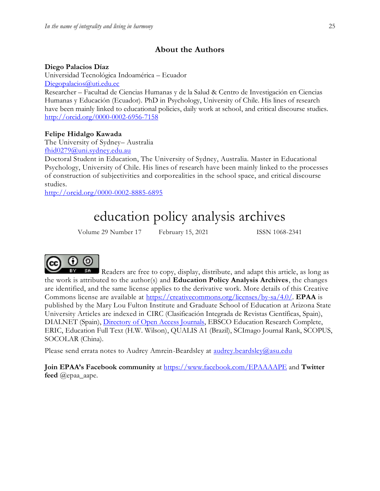# **About the Authors**

## **Diego Palacios Díaz**

Universidad Tecnológica Indoamérica – Ecuador [Diegopalacios@uti.edu.ec](mailto:Diegopalacios@uti.edu.ec)

Researcher – Facultad de Ciencias Humanas y de la Salud & Centro de Investigación en Ciencias Humanas y Educación (Ecuador). PhD in Psychology, University of Chile. His lines of research have been mainly linked to educational policies, daily work at school, and critical discourse studies. <http://orcid.org/0000-0002-6956-7158>

# **Felipe Hidalgo Kawada**

The University of Sydney– Australia [fhid0279@uni.sydney.edu.au](mailto:fhid0279@uni.sydney.edu.au)

Doctoral Student in Education, The University of Sydney, Australia. Master in Educational Psychology, University of Chile. His lines of research have been mainly linked to the processes of construction of subjectivities and corporealities in the school space, and critical discourse studies.

<http://orcid.org/0000-0002-8885-6895>

# education policy analysis archives

Volume 29 Number 17 February 15, 2021 ISSN 1068-2341



Readers are free to copy, display, distribute, and adapt this article, as long as the work is attributed to the author(s) and **Education Policy Analysis Archives**, the changes are identified, and the same license applies to the derivative work. More details of this Creative Commons license are available at [https://creativecommons.org/licenses/by-sa/4.0/.](https://creativecommons.org/licenses/by-sa/4.0/) **EPAA** is published by the Mary Lou Fulton Institute and Graduate School of Education at Arizona State University Articles are indexed in CIRC (Clasificación Integrada de Revistas Científicas, Spain), DIALNET (Spain), [Directory of Open Access Journals,](http://www.doaj.org/) EBSCO Education Research Complete, ERIC, Education Full Text (H.W. Wilson), QUALIS A1 (Brazil), SCImago Journal Rank, SCOPUS, SOCOLAR (China).

Please send errata notes to Audrey Amrein-Beardsley at [audrey.beardsley@asu.edu](mailto:audrey.beardsley@asu.edu)

**Join EPAA's Facebook community** at<https://www.facebook.com/EPAAAAPE> and **Twitter feed** @epaa\_aape.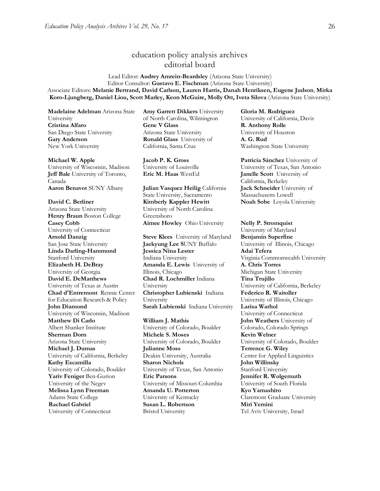# education policy analysis archives editorial board

#### Lead Editor: **Audrey Amrein-Beardsley** (Arizona State University) Editor Consultor: **Gustavo E. Fischman** (Arizona State University) Associate Editors: **Melanie Bertrand, David Carlson, Lauren Harris, Danah Henriksen, Eugene Judson**, **Mirka Koro-Ljungberg, Daniel Liou, Scott Marley, Keon McGuire, Molly Ott, Iveta Silova** (Arizona State University)

**Madelaine Adelman** Arizona State University **Cristina Alfaro**  San Diego State University **Gary Anderson** New York University

#### **Michael W. Apple**

University of Wisconsin, Madison **Jeff Bale** University of Toronto, Canada **Aaron Benavot** SUNY Albany **Julian Vasquez Heilig** California

#### **David C. Berliner**

Arizona State University **Henry Braun** Boston College **Casey Cobb** University of Connecticut **Arnold Danzig** San Jose State University **Linda Darling-Hammond**  Stanford University **Elizabeth H. DeBray**  University of Georgia **David E. DeMatthews** University of Texas at Austin **Chad d'Entremont** Rennie Center for Education Research & Policy **John Diamond** University of Wisconsin, Madison **Matthew Di Carlo**  Albert Shanker Institute **Sherman Dorn** Arizona State University **Michael J. Dumas**  University of California, Berkeley **Kathy Escamilla**  University of Colorado, Boulder **Yariv Feniger** Ben-Gurion University of the Negev **Melissa Lynn Freeman**  Adams State College **Rachael Gabriel** University of Connecticut

**Amy Garrett Dikkers** University of North Carolina, Wilmington **Gene V Glass**  Arizona State University **Ronald Glass** University of California, Santa Cruz

**Jacob P. K. Gross**  University of Louisville

State University, Sacramento **Kimberly Kappler Hewitt** University of North Carolina Greensboro **Aimee Howley** Ohio University **Nelly P. Stromquist** 

**Steve Klees** University of Maryland **Jaekyung Lee S**UNY Buffalo **Jessica Nina Lester** Indiana University **Amanda E. Lewis** University of Illinois, Chicago **Chad R. Lochmiller** Indiana University **Christopher Lubienski** Indiana University **Sarah Lubienski** Indiana University **Larisa Warhol**

**William J. Mathis**  University of Colorado, Boulder **Michele S. Moses**  University of Colorado, Boulder **Julianne Moss** Deakin University, Australia **Sharon Nichols**  University of Texas, San Antonio **Eric Parsons** University of Missouri-Columbia **Amanda U. Potterton** University of Kentucky **Susan L. Robertson** Bristol University

**Gloria M. Rodriguez** University of California, Davis **R. Anthony Rolle**  University of Houston **A. G. Rud**  Washington State University

**Patricia Sánchez** University of University of Texas, San Antonio **Eric M. Haas** WestEd **Janelle Scott** University of California, Berkeley **Jack Schneider** University of Massachusetts Lowell **Noah Sobe** Loyola University

University of Maryland **Benjamin Superfine**  University of Illinois, Chicago **Adai Tefera**  Virginia Commonwealth University **A. Chris Torres** Michigan State University **Tina Trujillo**  University of California, Berkeley **Federico R. Waitoller**  University of Illinois, Chicago University of Connecticut **John Weathers** University of Colorado, Colorado Springs **Kevin Welner** University of Colorado, Boulder **Terrence G. Wiley**  Center for Applied Linguistics **John Willinsky**  Stanford University **Jennifer R. Wolgemuth**  University of South Florida **Kyo Yamashiro**  Claremont Graduate University **Miri Yemini** Tel Aviv University, Israel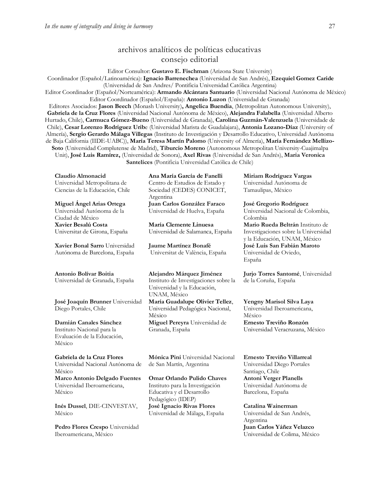# archivos analíticos de políticas educativas consejo editorial

Editor Consultor: **Gustavo E. Fischman** (Arizona State University)

Coordinador (Español/Latinoamérica): **Ignacio Barrenechea** (Universidad de San Andrés), **Ezequiel Gomez Caride** (Universidad de San Andres/ Pontificia Universidad Católica Argentina)

Editor Coordinador (Español/Norteamérica): **Armando Alcántara Santuario** (Universidad Nacional Autónoma de México) Editor Coordinador (Español/España): **Antonio Luzon** (Universidad de Granada)

Editores Asociados: **Jason Beech** (Monash University)**, Angelica Buendia**, (Metropolitan Autonomous University), **Gabriela de la Cruz Flores** (Universidad Nacional Autónoma de Mëxico), **Alejandra Falabella** (Universidad Alberto Hurtado, Chile), **Carmuca Gómez-Bueno** (Universidad de Granada), **Carolina Guzmán-Valenzuela** (Universidade de Chile), **Cesar Lorenzo Rodriguez Urib**e (Universidad Marista de Guadalajara), **Antonia Lozano-Díaz** (University of Almería), **Sergio Gerardo Málaga Villegas** (Instituto de Investigación y Desarrollo Educativo, Universidad Autónoma de Baja California (IIDE-UABC)), **María Teresa Martín Palomo** (University of Almería), **María Fernández Mellizo-Soto** (Universidad Complutense de Madrid), **Tiburcio Moreno** (Autonomous Metropolitan University-Cuajimalpa Unit), **José Luis Ramírez,** (Universidad de Sonora), **Axel Rivas** (Universidad de San Andrés), **Maria Veronica Santelices** (Pontificia Universidad Católica de Chile)

**Claudio Almonacid** Universidad Metropolitana de Ciencias de la Educación, Chile

**Miguel Ángel Arias Ortega**  Universidad Autónoma de la Ciudad de México **Xavier Besalú Costa**  Universitat de Girona, España

**[Xavier Bonal](javascript:openRTWindow() Sarro** Universidad Autónoma de Barcelona, España

#### **[Antonio Bolívar](javascript:openRTWindow() Boitia**

Universidad de Granada, España

**[José Joaquín Brunner](javascript:openRTWindow()** Universidad Diego Portales, Chile

**[Damián Canales Sánchez](javascript:openRTWindow()** Instituto Nacional para la Evaluación de la Educación, México

**Gabriela de la Cruz Flores** Universidad Nacional Autónoma de México **[Marco Antonio Delgado Fuentes](javascript:openRTWindow()** Universidad Iberoamericana, México

**[Inés Dussel](javascript:openRTWindow()**, DIE-CINVESTAV, México

**[Pedro Flores Crespo](javascript:openRTWindow()** Universidad Iberoamericana, México

**Ana María García de Fanelli**  Centro de Estudios de Estado y Sociedad (CEDES) CONICET, Argentina **Juan Carlos González Faraco**  Universidad de Huelva, España

**María Clemente Linuesa**  Universidad de Salamanca, España

**Jaume Martínez Bonafé** Universitat de València, España

**Alejandro Márquez Jiménez**  Instituto de Investigaciones sobre la Universidad y la Educación, UNAM, México

**María Guadalupe Olivier Tellez**, Universidad Pedagógica Nacional, México **[Miguel Pereyra](javascript:openRTWindow()** Universidad de Granada, España

**[Mónica Pini](javascript:openRTWindow()** Universidad Nacional de San Martín, Argentina

**Omar Orlando Pulido Chaves** Instituto para la Investigación Educativa y el Desarrollo Pedagógico (IDEP) **José Ignacio Rivas Flores** Universidad de Málaga, España

**[Miriam Rodríguez Vargas](javascript:openRTWindow()** Universidad Autónoma de Tamaulipas, México

**José Gregorio Rodríguez**  Universidad Nacional de Colombia, Colombia **[Mario Rueda Beltrán](javascript:openRTWindow()** Instituto de Investigaciones sobre la Universidad y la Educación, UNAM, México **José Luis San Fabián Maroto**  Universidad de Oviedo, España

**[Jurjo Torres Santomé](javascript:openRTWindow()**, Universidad de la Coruña, España

**Yengny [Marisol Silva Laya](javascript:openRTWindow()** Universidad Iberoamericana, México **Ernesto Treviño Ronzón** Universidad Veracruzana, México

**[Ernesto Treviño](javascript:openRTWindow() Villarreal** Universidad Diego Portales Santiago, Chile **[Antoni Verger Planells](javascript:openRTWindow()** Universidad Autónoma de Barcelona, España

**[Catalina Wainerman](javascript:openRTWindow()** Universidad de San Andrés, Argentina **Juan Carlos Yáñez Velazco** Universidad de Colima, México